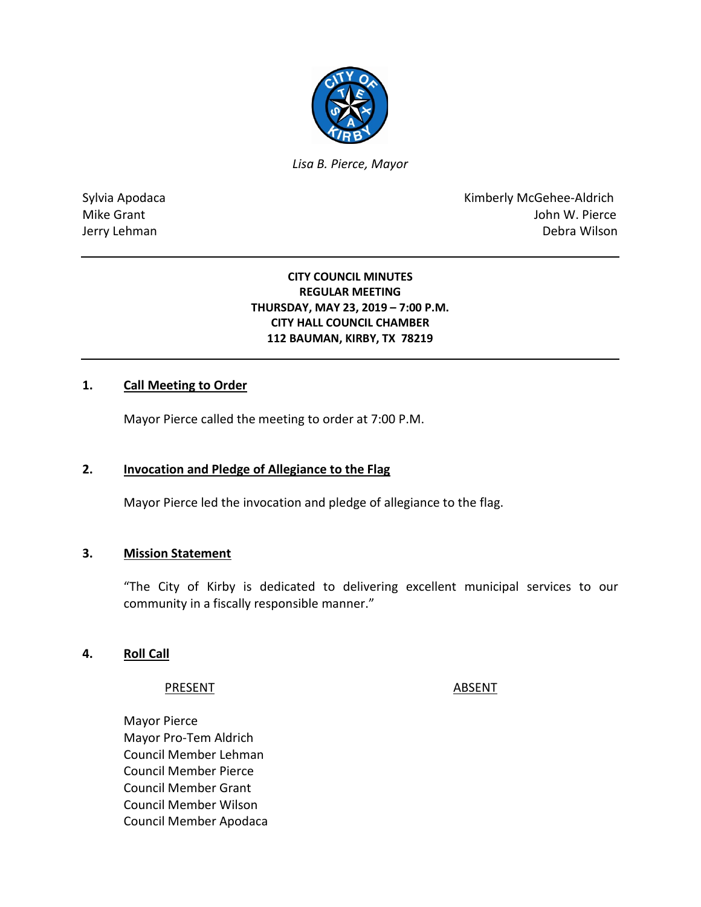

*Lisa B. Pierce, Mayor* 

Sylvia Apodaca **Kimberly McGehee-Aldrich** Mike Grant **Mike Grant** And The Control of the Control of the Control of the Control of the Control of the Control of the Control of the Control of the Control of the Control of the Control of the Control of the Control of Jerry Lehman Debra Wilson

### **CITY COUNCIL MINUTES REGULAR MEETING THURSDAY, MAY 23, 2019 – 7:00 P.M. CITY HALL COUNCIL CHAMBER 112 BAUMAN, KIRBY, TX 78219**

#### **1. Call Meeting to Order**

Mayor Pierce called the meeting to order at 7:00 P.M.

#### **2. Invocation and Pledge of Allegiance to the Flag**

Mayor Pierce led the invocation and pledge of allegiance to the flag.

#### **3. Mission Statement**

"The City of Kirby is dedicated to delivering excellent municipal services to our community in a fiscally responsible manner."

#### **4. Roll Call**

#### PRESENT ABSENT

Mayor Pierce Mayor Pro-Tem Aldrich Council Member Lehman Council Member Pierce Council Member Grant Council Member Wilson Council Member Apodaca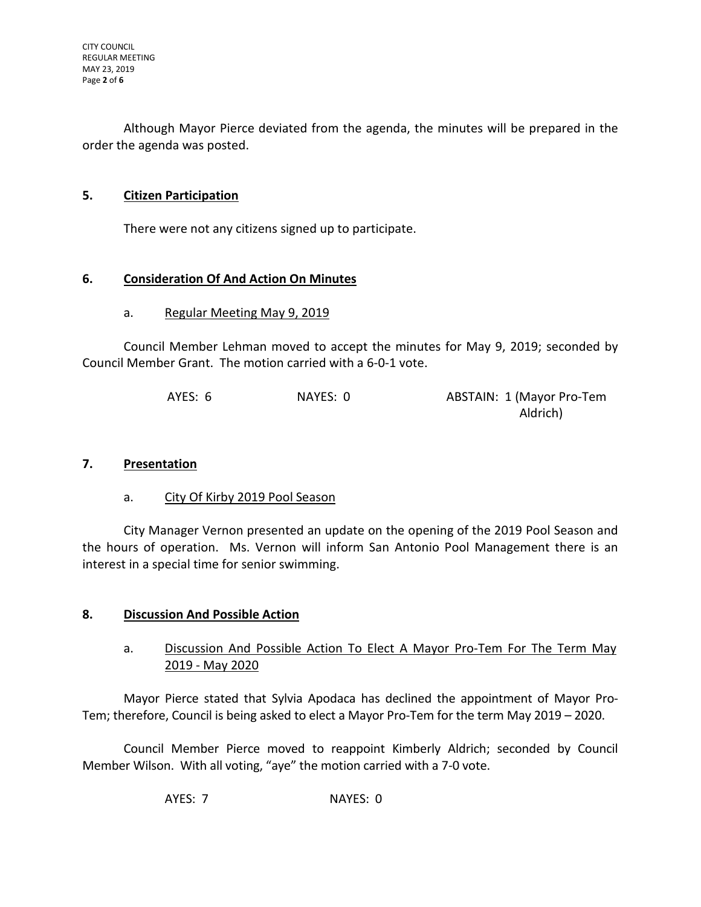Although Mayor Pierce deviated from the agenda, the minutes will be prepared in the order the agenda was posted.

## **5. Citizen Participation**

There were not any citizens signed up to participate.

## **6. Consideration Of And Action On Minutes**

### a. Regular Meeting May 9, 2019

Council Member Lehman moved to accept the minutes for May 9, 2019; seconded by Council Member Grant. The motion carried with a 6-0-1 vote.

| AYES: 6 | NAYES: 0 | ABSTAIN: 1 (Mayor Pro-Tem |
|---------|----------|---------------------------|
|         |          | Aldrich)                  |

#### **7. Presentation**

a. City Of Kirby 2019 Pool Season

City Manager Vernon presented an update on the opening of the 2019 Pool Season and the hours of operation. Ms. Vernon will inform San Antonio Pool Management there is an interest in a special time for senior swimming.

## **8. Discussion And Possible Action**

## a. Discussion And Possible Action To Elect A Mayor Pro-Tem For The Term May 2019 - May 2020

Mayor Pierce stated that Sylvia Apodaca has declined the appointment of Mayor Pro-Tem; therefore, Council is being asked to elect a Mayor Pro-Tem for the term May 2019 – 2020.

Council Member Pierce moved to reappoint Kimberly Aldrich; seconded by Council Member Wilson. With all voting, "aye" the motion carried with a 7-0 vote.

AYES: 7 NAYES: 0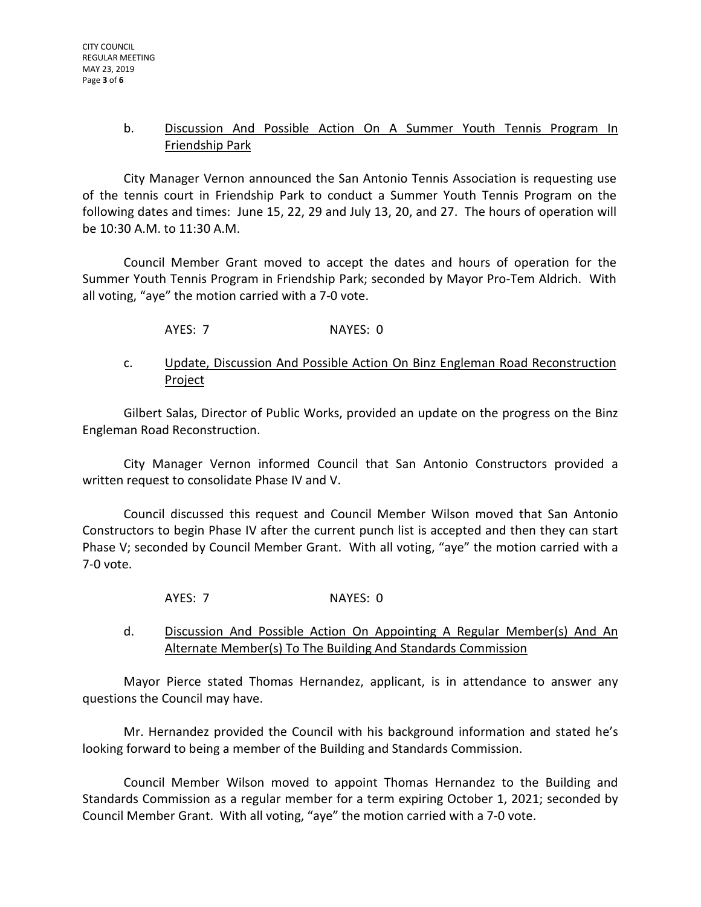### b. Discussion And Possible Action On A Summer Youth Tennis Program In Friendship Park

City Manager Vernon announced the San Antonio Tennis Association is requesting use of the tennis court in Friendship Park to conduct a Summer Youth Tennis Program on the following dates and times: June 15, 22, 29 and July 13, 20, and 27. The hours of operation will be 10:30 A.M. to 11:30 A.M.

Council Member Grant moved to accept the dates and hours of operation for the Summer Youth Tennis Program in Friendship Park; seconded by Mayor Pro-Tem Aldrich. With all voting, "aye" the motion carried with a 7-0 vote.

AYES: 7 NAYES: 0

## c. Update, Discussion And Possible Action On Binz Engleman Road Reconstruction **Project**

Gilbert Salas, Director of Public Works, provided an update on the progress on the Binz Engleman Road Reconstruction.

City Manager Vernon informed Council that San Antonio Constructors provided a written request to consolidate Phase IV and V.

Council discussed this request and Council Member Wilson moved that San Antonio Constructors to begin Phase IV after the current punch list is accepted and then they can start Phase V; seconded by Council Member Grant. With all voting, "aye" the motion carried with a 7-0 vote.

AYES: 7 NAYES: 0

## d. Discussion And Possible Action On Appointing A Regular Member(s) And An Alternate Member(s) To The Building And Standards Commission

Mayor Pierce stated Thomas Hernandez, applicant, is in attendance to answer any questions the Council may have.

Mr. Hernandez provided the Council with his background information and stated he's looking forward to being a member of the Building and Standards Commission.

Council Member Wilson moved to appoint Thomas Hernandez to the Building and Standards Commission as a regular member for a term expiring October 1, 2021; seconded by Council Member Grant. With all voting, "aye" the motion carried with a 7-0 vote.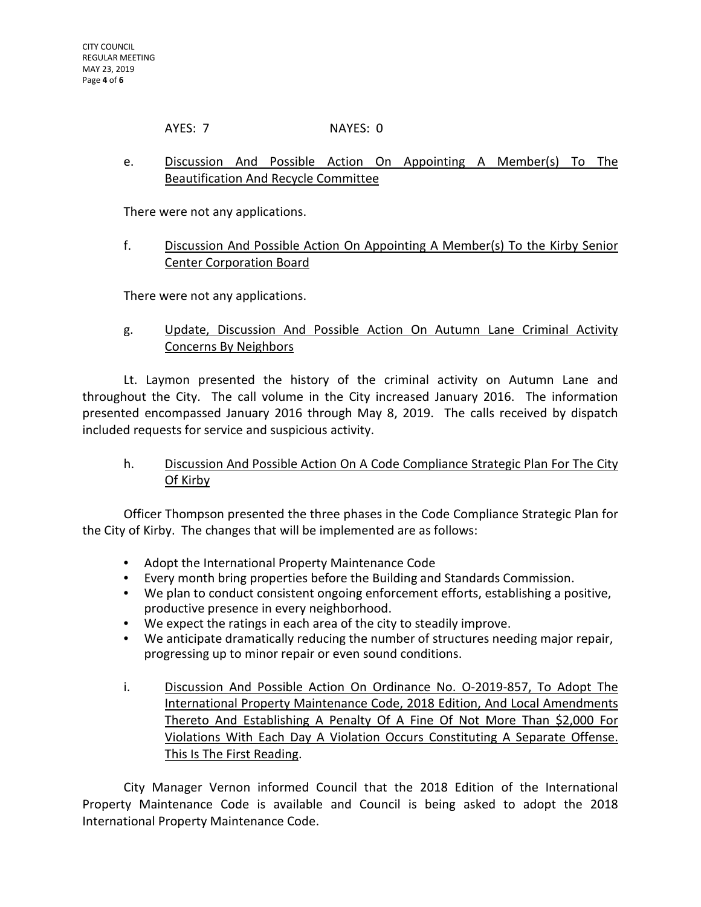AYES: 7 NAYES: 0

# e. Discussion And Possible Action On Appointing A Member(s) To The Beautification And Recycle Committee

There were not any applications.

## f. Discussion And Possible Action On Appointing A Member(s) To the Kirby Senior Center Corporation Board

There were not any applications.

# g. Update, Discussion And Possible Action On Autumn Lane Criminal Activity Concerns By Neighbors

Lt. Laymon presented the history of the criminal activity on Autumn Lane and throughout the City. The call volume in the City increased January 2016. The information presented encompassed January 2016 through May 8, 2019. The calls received by dispatch included requests for service and suspicious activity.

# h. Discussion And Possible Action On A Code Compliance Strategic Plan For The City Of Kirby

Officer Thompson presented the three phases in the Code Compliance Strategic Plan for the City of Kirby. The changes that will be implemented are as follows:

- Adopt the International Property Maintenance Code
- Every month bring properties before the Building and Standards Commission.
- We plan to conduct consistent ongoing enforcement efforts, establishing a positive, productive presence in every neighborhood.
- We expect the ratings in each area of the city to steadily improve.
- We anticipate dramatically reducing the number of structures needing major repair, progressing up to minor repair or even sound conditions.
- i. Discussion And Possible Action On Ordinance No. O-2019-857, To Adopt The International Property Maintenance Code, 2018 Edition, And Local Amendments Thereto And Establishing A Penalty Of A Fine Of Not More Than \$2,000 For Violations With Each Day A Violation Occurs Constituting A Separate Offense. This Is The First Reading.

City Manager Vernon informed Council that the 2018 Edition of the International Property Maintenance Code is available and Council is being asked to adopt the 2018 International Property Maintenance Code.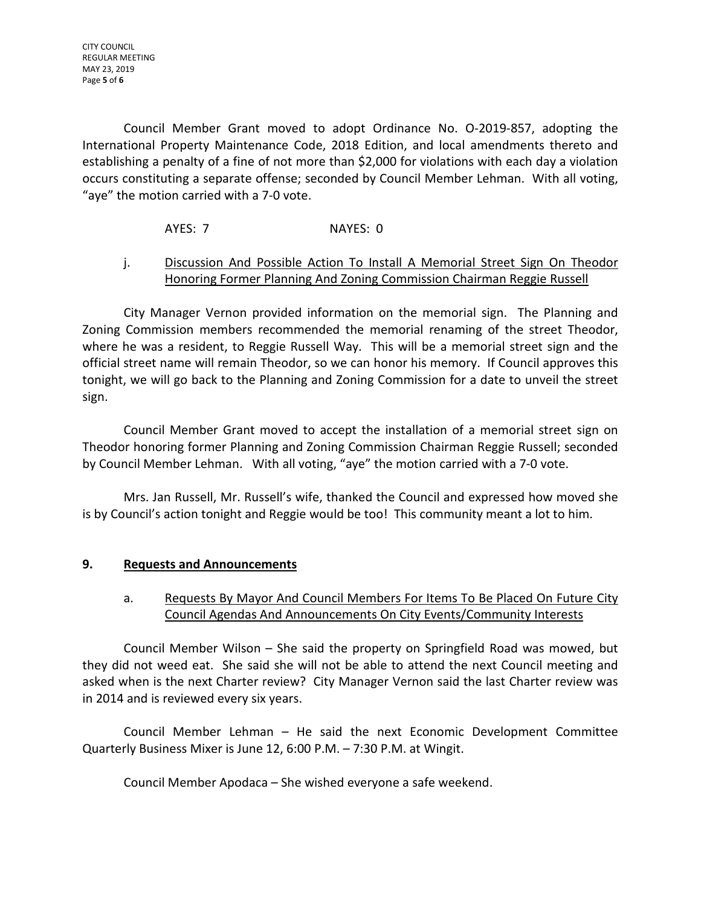Council Member Grant moved to adopt Ordinance No. O-2019-857, adopting the International Property Maintenance Code, 2018 Edition, and local amendments thereto and establishing a penalty of a fine of not more than \$2,000 for violations with each day a violation occurs constituting a separate offense; seconded by Council Member Lehman. With all voting, "aye" the motion carried with a 7-0 vote.

AYES: 7 NAYES: 0

# j. Discussion And Possible Action To Install A Memorial Street Sign On Theodor Honoring Former Planning And Zoning Commission Chairman Reggie Russell

City Manager Vernon provided information on the memorial sign. The Planning and Zoning Commission members recommended the memorial renaming of the street Theodor, where he was a resident, to Reggie Russell Way. This will be a memorial street sign and the official street name will remain Theodor, so we can honor his memory. If Council approves this tonight, we will go back to the Planning and Zoning Commission for a date to unveil the street sign.

Council Member Grant moved to accept the installation of a memorial street sign on Theodor honoring former Planning and Zoning Commission Chairman Reggie Russell; seconded by Council Member Lehman. With all voting, "aye" the motion carried with a 7-0 vote.

Mrs. Jan Russell, Mr. Russell's wife, thanked the Council and expressed how moved she is by Council's action tonight and Reggie would be too! This community meant a lot to him.

# **9. Requests and Announcements**

# a. Requests By Mayor And Council Members For Items To Be Placed On Future City Council Agendas And Announcements On City Events/Community Interests

Council Member Wilson – She said the property on Springfield Road was mowed, but they did not weed eat. She said she will not be able to attend the next Council meeting and asked when is the next Charter review? City Manager Vernon said the last Charter review was in 2014 and is reviewed every six years.

Council Member Lehman – He said the next Economic Development Committee Quarterly Business Mixer is June 12, 6:00 P.M. – 7:30 P.M. at Wingit.

Council Member Apodaca – She wished everyone a safe weekend.